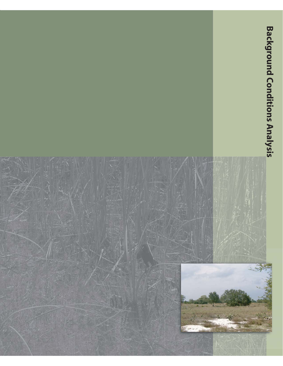

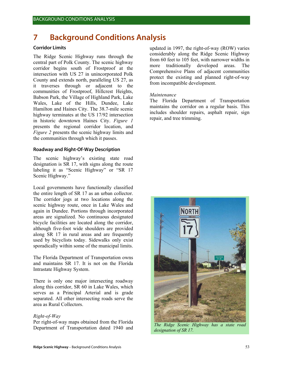# **7 Background Conditions Analysis**

## **Corridor Limits**

The Ridge Scenic Highway runs through the central part of Polk County. The scenic highway corridor begins south of Frostproof at the intersection with US 27 in unincorporated Polk County and extends north, paralleling US 27, as it traverses through or adjacent to the communities of Frostproof, Hillcrest Heights, Babson Park, the Village of Highland Park, Lake Wales, Lake of the Hills, Dundee, Lake Hamilton and Haines City. The 38.7-mile scenic highway terminates at the US 17/92 intersection in historic downtown Haines City. *Figure 1* presents the regional corridor location, and *Figure 2* presents the scenic highway limits and the communities through which it passes.

#### **Roadway and Right-Of-Way Description**

The scenic highway's existing state road designation is SR 17, with signs along the route labeling it as "Scenic Highway" or "SR 17 Scenic Highway."

Local governments have functionally classified the entire length of SR 17 as an urban collector. The corridor jogs at two locations along the scenic highway route, once in Lake Wales and again in Dundee. Portions through incorporated areas are signalized. No continuous designated bicycle facilities are located along the corridor, although five-foot wide shoulders are provided along SR 17 in rural areas and are frequently used by bicyclists today. Sidewalks only exist sporadically within some of the municipal limits.

The Florida Department of Transportation owns and maintains SR 17. It is not on the Florida Intrastate Highway System.

There is only one major intersecting roadway along this corridor, SR 60 in Lake Wales, which serves as a Principal Arterial and is grade separated. All other intersecting roads serve the area as Rural Collectors.

# *Right-of-Way*

Per right-of-way maps obtained from the Florida Department of Transportation dated 1940 and updated in 1997, the right-of-way (ROW) varies considerably along the Ridge Scenic Highway from 60 feet to 105 feet, with narrower widths in more traditionally developed areas. The Comprehensive Plans of adjacent communities protect the existing and planned right-of-way from incompatible development.

### *Maintenance*

The Florida Department of Transportation maintains the corridor on a regular basis. This includes shoulder repairs, asphalt repair, sign repair, and tree trimming.



*The Ridge Scenic Highway has a state road designation of SR 17.*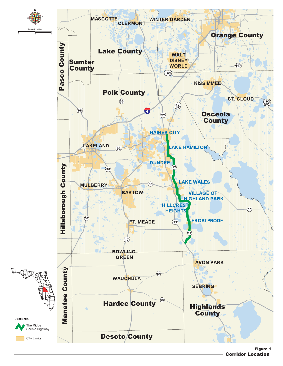

Corridor Location